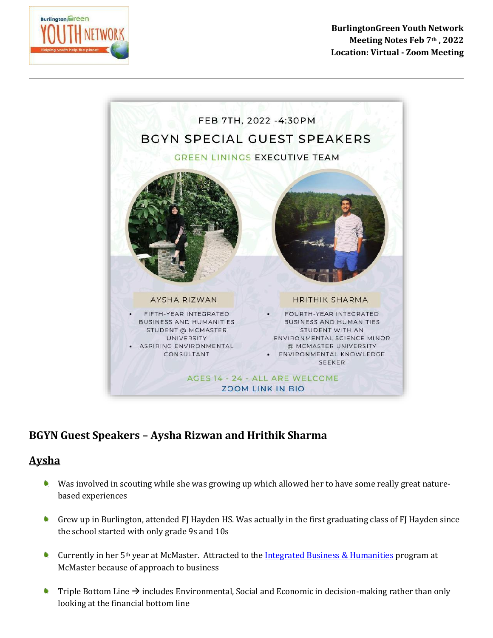

**BurlingtonGreen Youth Network Meeting Notes Feb 7th , 2022 Location: Virtual - Zoom Meeting**



## **BGYN Guest Speakers – Aysha Rizwan and Hrithik Sharma**

## **Aysha**

- Was involved in scouting while she was growing up which allowed her to have some really great naturebased experiences
- Grew up in Burlington, attended FJ Hayden HS. Was actually in the first graduating class of FJ Hayden since the school started with only grade 9s and 10s
- Currently in her 5<sup>th</sup> year at McMaster. Attracted to the [Integrated Business & Humanities](https://future.mcmaster.ca/programs/ibh/#tab-10) program at McMaster because of approach to business
- Triple Bottom Line  $\rightarrow$  includes Environmental, Social and Economic in decision-making rather than only looking at the financial bottom line